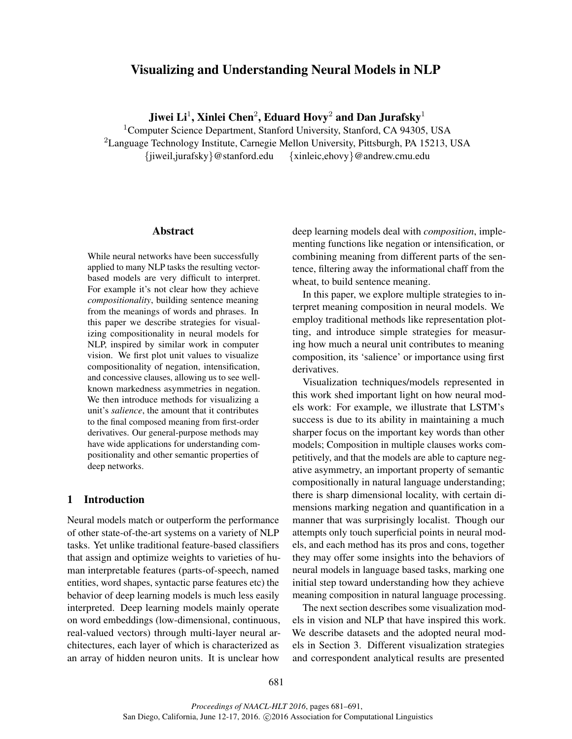# Visualizing and Understanding Neural Models in NLP

Jiwei Li $^1$ , Xinlei Chen $^2$ , Eduard Hovy $^2$  and Dan Jurafsky $^1$ 

<sup>1</sup>Computer Science Department, Stanford University, Stanford, CA 94305, USA <sup>2</sup>Language Technology Institute, Carnegie Mellon University, Pittsburgh, PA 15213, USA {jiweil,jurafsky}@stanford.edu {xinleic,ehovy}@andrew.cmu.edu

#### Abstract

While neural networks have been successfully applied to many NLP tasks the resulting vectorbased models are very difficult to interpret. For example it's not clear how they achieve *compositionality*, building sentence meaning from the meanings of words and phrases. In this paper we describe strategies for visualizing compositionality in neural models for NLP, inspired by similar work in computer vision. We first plot unit values to visualize compositionality of negation, intensification, and concessive clauses, allowing us to see wellknown markedness asymmetries in negation. We then introduce methods for visualizing a unit's *salience*, the amount that it contributes to the final composed meaning from first-order derivatives. Our general-purpose methods may have wide applications for understanding compositionality and other semantic properties of deep networks.

## 1 Introduction

Neural models match or outperform the performance of other state-of-the-art systems on a variety of NLP tasks. Yet unlike traditional feature-based classifiers that assign and optimize weights to varieties of human interpretable features (parts-of-speech, named entities, word shapes, syntactic parse features etc) the behavior of deep learning models is much less easily interpreted. Deep learning models mainly operate on word embeddings (low-dimensional, continuous, real-valued vectors) through multi-layer neural architectures, each layer of which is characterized as an array of hidden neuron units. It is unclear how deep learning models deal with *composition*, implementing functions like negation or intensification, or combining meaning from different parts of the sentence, filtering away the informational chaff from the wheat, to build sentence meaning.

In this paper, we explore multiple strategies to interpret meaning composition in neural models. We employ traditional methods like representation plotting, and introduce simple strategies for measuring how much a neural unit contributes to meaning composition, its 'salience' or importance using first derivatives.

Visualization techniques/models represented in this work shed important light on how neural models work: For example, we illustrate that LSTM's success is due to its ability in maintaining a much sharper focus on the important key words than other models; Composition in multiple clauses works competitively, and that the models are able to capture negative asymmetry, an important property of semantic compositionally in natural language understanding; there is sharp dimensional locality, with certain dimensions marking negation and quantification in a manner that was surprisingly localist. Though our attempts only touch superficial points in neural models, and each method has its pros and cons, together they may offer some insights into the behaviors of neural models in language based tasks, marking one initial step toward understanding how they achieve meaning composition in natural language processing.

The next section describes some visualization models in vision and NLP that have inspired this work. We describe datasets and the adopted neural models in Section 3. Different visualization strategies and correspondent analytical results are presented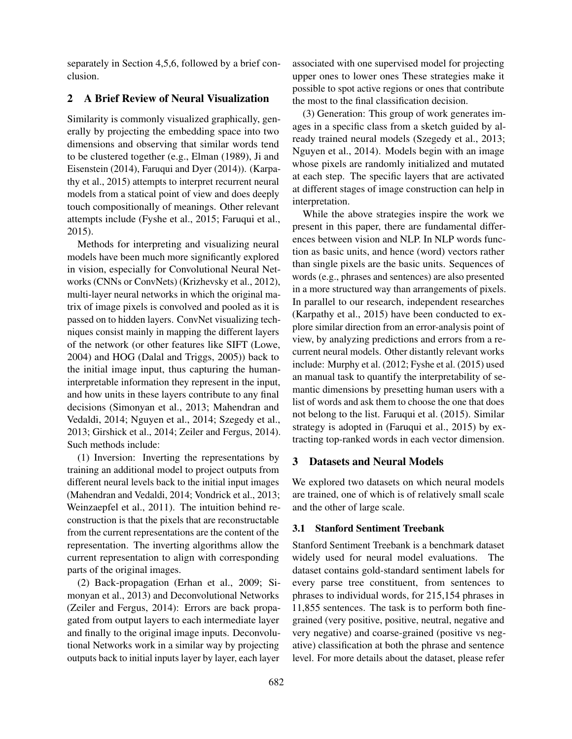separately in Section 4,5,6, followed by a brief conclusion.

## 2 A Brief Review of Neural Visualization

Similarity is commonly visualized graphically, generally by projecting the embedding space into two dimensions and observing that similar words tend to be clustered together (e.g., Elman (1989), Ji and Eisenstein (2014), Faruqui and Dyer (2014)). (Karpathy et al., 2015) attempts to interpret recurrent neural models from a statical point of view and does deeply touch compositionally of meanings. Other relevant attempts include (Fyshe et al., 2015; Faruqui et al., 2015).

Methods for interpreting and visualizing neural models have been much more significantly explored in vision, especially for Convolutional Neural Networks (CNNs or ConvNets) (Krizhevsky et al., 2012), multi-layer neural networks in which the original matrix of image pixels is convolved and pooled as it is passed on to hidden layers. ConvNet visualizing techniques consist mainly in mapping the different layers of the network (or other features like SIFT (Lowe, 2004) and HOG (Dalal and Triggs, 2005)) back to the initial image input, thus capturing the humaninterpretable information they represent in the input, and how units in these layers contribute to any final decisions (Simonyan et al., 2013; Mahendran and Vedaldi, 2014; Nguyen et al., 2014; Szegedy et al., 2013; Girshick et al., 2014; Zeiler and Fergus, 2014). Such methods include:

(1) Inversion: Inverting the representations by training an additional model to project outputs from different neural levels back to the initial input images (Mahendran and Vedaldi, 2014; Vondrick et al., 2013; Weinzaepfel et al., 2011). The intuition behind reconstruction is that the pixels that are reconstructable from the current representations are the content of the representation. The inverting algorithms allow the current representation to align with corresponding parts of the original images.

(2) Back-propagation (Erhan et al., 2009; Simonyan et al., 2013) and Deconvolutional Networks (Zeiler and Fergus, 2014): Errors are back propagated from output layers to each intermediate layer and finally to the original image inputs. Deconvolutional Networks work in a similar way by projecting outputs back to initial inputs layer by layer, each layer associated with one supervised model for projecting upper ones to lower ones These strategies make it possible to spot active regions or ones that contribute the most to the final classification decision.

(3) Generation: This group of work generates images in a specific class from a sketch guided by already trained neural models (Szegedy et al., 2013; Nguyen et al., 2014). Models begin with an image whose pixels are randomly initialized and mutated at each step. The specific layers that are activated at different stages of image construction can help in interpretation.

While the above strategies inspire the work we present in this paper, there are fundamental differences between vision and NLP. In NLP words function as basic units, and hence (word) vectors rather than single pixels are the basic units. Sequences of words (e.g., phrases and sentences) are also presented in a more structured way than arrangements of pixels. In parallel to our research, independent researches (Karpathy et al., 2015) have been conducted to explore similar direction from an error-analysis point of view, by analyzing predictions and errors from a recurrent neural models. Other distantly relevant works include: Murphy et al. (2012; Fyshe et al. (2015) used an manual task to quantify the interpretability of semantic dimensions by presetting human users with a list of words and ask them to choose the one that does not belong to the list. Faruqui et al. (2015). Similar strategy is adopted in (Faruqui et al., 2015) by extracting top-ranked words in each vector dimension.

### 3 Datasets and Neural Models

We explored two datasets on which neural models are trained, one of which is of relatively small scale and the other of large scale.

### 3.1 Stanford Sentiment Treebank

Stanford Sentiment Treebank is a benchmark dataset widely used for neural model evaluations. The dataset contains gold-standard sentiment labels for every parse tree constituent, from sentences to phrases to individual words, for 215,154 phrases in 11,855 sentences. The task is to perform both finegrained (very positive, positive, neutral, negative and very negative) and coarse-grained (positive vs negative) classification at both the phrase and sentence level. For more details about the dataset, please refer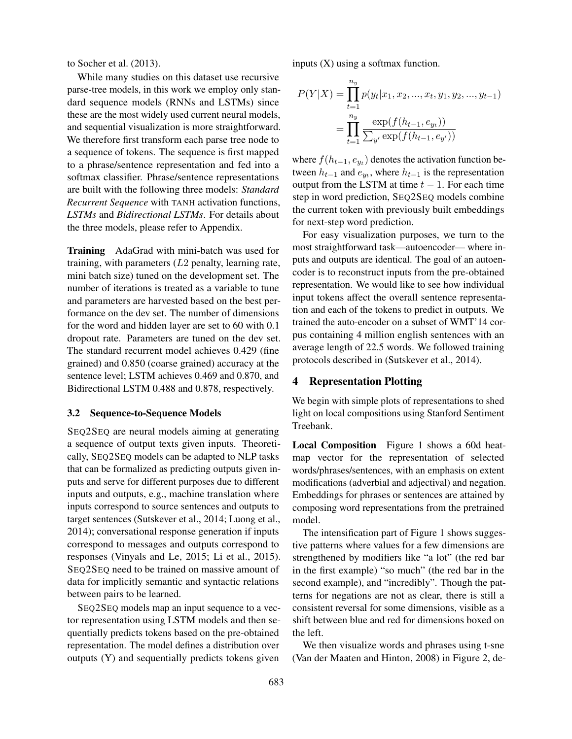to Socher et al. (2013).

While many studies on this dataset use recursive parse-tree models, in this work we employ only standard sequence models (RNNs and LSTMs) since these are the most widely used current neural models, and sequential visualization is more straightforward. We therefore first transform each parse tree node to a sequence of tokens. The sequence is first mapped to a phrase/sentence representation and fed into a softmax classifier. Phrase/sentence representations are built with the following three models: *Standard Recurrent Sequence* with TANH activation functions, *LSTMs* and *Bidirectional LSTMs*. For details about the three models, please refer to Appendix.

Training AdaGrad with mini-batch was used for training, with parameters  $(L2 \text{ penalty}, \text{learning rate},$ mini batch size) tuned on the development set. The number of iterations is treated as a variable to tune and parameters are harvested based on the best performance on the dev set. The number of dimensions for the word and hidden layer are set to 60 with 0.1 dropout rate. Parameters are tuned on the dev set. The standard recurrent model achieves 0.429 (fine grained) and 0.850 (coarse grained) accuracy at the sentence level; LSTM achieves 0.469 and 0.870, and Bidirectional LSTM 0.488 and 0.878, respectively.

### 3.2 Sequence-to-Sequence Models

SEQ2SEQ are neural models aiming at generating a sequence of output texts given inputs. Theoretically, SEQ2SEQ models can be adapted to NLP tasks that can be formalized as predicting outputs given inputs and serve for different purposes due to different inputs and outputs, e.g., machine translation where inputs correspond to source sentences and outputs to target sentences (Sutskever et al., 2014; Luong et al., 2014); conversational response generation if inputs correspond to messages and outputs correspond to responses (Vinyals and Le, 2015; Li et al., 2015). SEQ2SEQ need to be trained on massive amount of data for implicitly semantic and syntactic relations between pairs to be learned.

SEQ2SEQ models map an input sequence to a vector representation using LSTM models and then sequentially predicts tokens based on the pre-obtained representation. The model defines a distribution over outputs (Y) and sequentially predicts tokens given inputs (X) using a softmax function.

$$
P(Y|X) = \prod_{t=1}^{n_y} p(y_t|x_1, x_2, ..., x_t, y_1, y_2, ..., y_{t-1})
$$

$$
= \prod_{t=1}^{n_y} \frac{\exp(f(h_{t-1}, e_{y_t}))}{\sum_{y'} \exp(f(h_{t-1}, e_{y'}))}
$$

where  $f(h_{t-1}, e_{y_t})$  denotes the activation function between  $h_{t-1}$  and  $e_{yt}$ , where  $h_{t-1}$  is the representation output from the LSTM at time  $t - 1$ . For each time step in word prediction, SEQ2SEQ models combine the current token with previously built embeddings for next-step word prediction.

For easy visualization purposes, we turn to the most straightforward task—autoencoder— where inputs and outputs are identical. The goal of an autoencoder is to reconstruct inputs from the pre-obtained representation. We would like to see how individual input tokens affect the overall sentence representation and each of the tokens to predict in outputs. We trained the auto-encoder on a subset of WMT'14 corpus containing 4 million english sentences with an average length of 22.5 words. We followed training protocols described in (Sutskever et al., 2014).

#### 4 Representation Plotting

We begin with simple plots of representations to shed light on local compositions using Stanford Sentiment Treebank.

Local Composition Figure 1 shows a 60d heatmap vector for the representation of selected words/phrases/sentences, with an emphasis on extent modifications (adverbial and adjectival) and negation. Embeddings for phrases or sentences are attained by composing word representations from the pretrained model.

The intensification part of Figure 1 shows suggestive patterns where values for a few dimensions are strengthened by modifiers like "a lot" (the red bar in the first example) "so much" (the red bar in the second example), and "incredibly". Though the patterns for negations are not as clear, there is still a consistent reversal for some dimensions, visible as a shift between blue and red for dimensions boxed on the left.

We then visualize words and phrases using t-sne (Van der Maaten and Hinton, 2008) in Figure 2, de-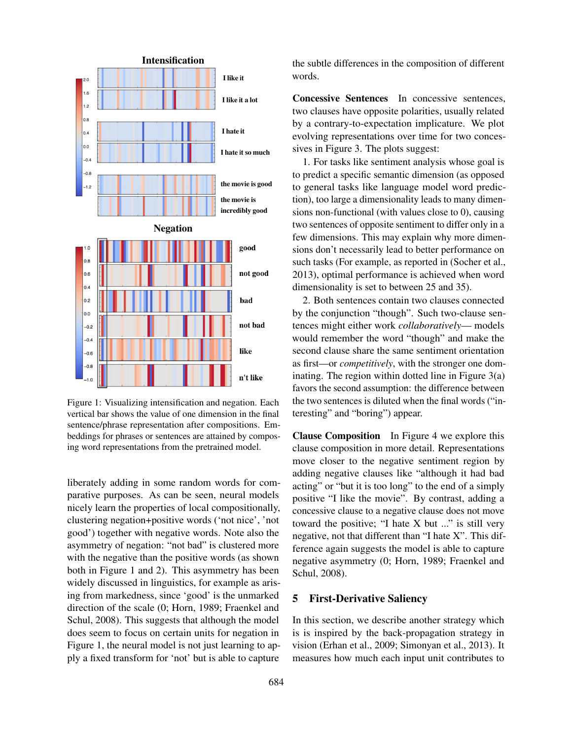

Figure 1: Visualizing intensification and negation. Each vertical bar shows the value of one dimension in the final sentence/phrase representation after compositions. Embeddings for phrases or sentences are attained by composing word representations from the pretrained model.

liberately adding in some random words for comparative purposes. As can be seen, neural models nicely learn the properties of local compositionally, clustering negation+positive words ('not nice', 'not good') together with negative words. Note also the asymmetry of negation: "not bad" is clustered more with the negative than the positive words (as shown both in Figure 1 and 2). This asymmetry has been widely discussed in linguistics, for example as arising from markedness, since 'good' is the unmarked direction of the scale (0; Horn, 1989; Fraenkel and Schul, 2008). This suggests that although the model does seem to focus on certain units for negation in Figure 1, the neural model is not just learning to apply a fixed transform for 'not' but is able to capture Concessive Sentences In concessive sentences, two clauses have opposite polarities, usually related by a contrary-to-expectation implicature. We plot evolving representations over time for two concessives in Figure 3. The plots suggest:

1. For tasks like sentiment analysis whose goal is to predict a specific semantic dimension (as opposed to general tasks like language model word prediction), too large a dimensionality leads to many dimensions non-functional (with values close to 0), causing two sentences of opposite sentiment to differ only in a few dimensions. This may explain why more dimensions don't necessarily lead to better performance on such tasks (For example, as reported in (Socher et al., 2013), optimal performance is achieved when word dimensionality is set to between 25 and 35).

2. Both sentences contain two clauses connected by the conjunction "though". Such two-clause sentences might either work *collaboratively*— models would remember the word "though" and make the second clause share the same sentiment orientation as first—or *competitively*, with the stronger one dominating. The region within dotted line in Figure  $3(a)$ favors the second assumption: the difference between the two sentences is diluted when the final words ("interesting" and "boring") appear.

Clause Composition In Figure 4 we explore this clause composition in more detail. Representations move closer to the negative sentiment region by adding negative clauses like "although it had bad acting" or "but it is too long" to the end of a simply positive "I like the movie". By contrast, adding a concessive clause to a negative clause does not move toward the positive; "I hate X but ..." is still very negative, not that different than "I hate X". This difference again suggests the model is able to capture negative asymmetry (0; Horn, 1989; Fraenkel and Schul, 2008).

### 5 First-Derivative Saliency

In this section, we describe another strategy which is is inspired by the back-propagation strategy in vision (Erhan et al., 2009; Simonyan et al., 2013). It measures how much each input unit contributes to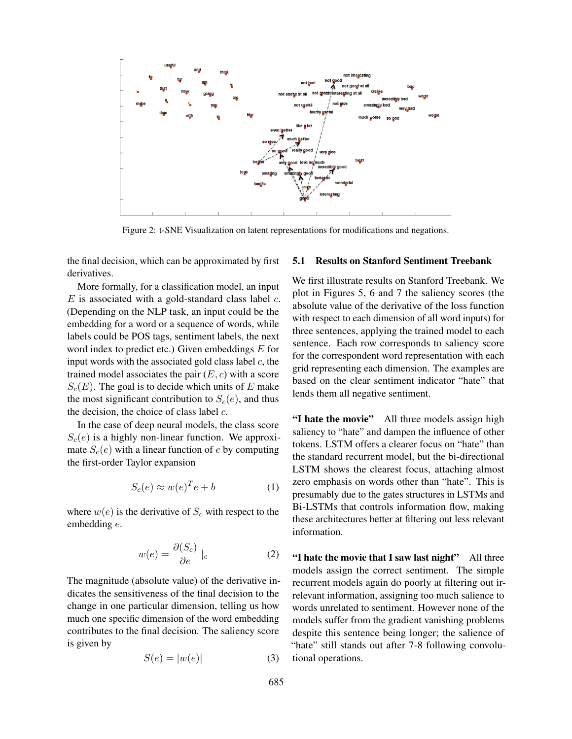

Figure 2: t-SNE Visualization on latent representations for modifications and negations.

the final decision, which can be approximated by first derivatives.

More formally, for a classification model, an input  $E$  is associated with a gold-standard class label  $c$ . (Depending on the NLP task, an input could be the embedding for a word or a sequence of words, while labels could be POS tags, sentiment labels, the next word index to predict etc.) Given embeddings  $E$  for input words with the associated gold class label  $c$ , the trained model associates the pair  $(E, c)$  with a score  $S_c(E)$ . The goal is to decide which units of E make the most significant contribution to  $S_c(e)$ , and thus the decision, the choice of class label  $c$ .

In the case of deep neural models, the class score  $S<sub>c</sub>(e)$  is a highly non-linear function. We approximate  $S_c(e)$  with a linear function of e by computing the first-order Taylor expansion

$$
S_c(e) \approx w(e)^T e + b \tag{1}
$$

where  $w(e)$  is the derivative of  $S_c$  with respect to the embedding e.

$$
w(e) = \frac{\partial(S_c)}{\partial e} \mid_e \tag{2}
$$

The magnitude (absolute value) of the derivative indicates the sensitiveness of the final decision to the change in one particular dimension, telling us how much one specific dimension of the word embedding contributes to the final decision. The saliency score is given by

$$
S(e) = |w(e)| \tag{3}
$$

### 5.1 Results on Stanford Sentiment Treebank

We first illustrate results on Stanford Treebank. We plot in Figures 5, 6 and 7 the saliency scores (the absolute value of the derivative of the loss function with respect to each dimension of all word inputs) for three sentences, applying the trained model to each sentence. Each row corresponds to saliency score for the correspondent word representation with each grid representing each dimension. The examples are based on the clear sentiment indicator "hate" that lends them all negative sentiment.

"I hate the movie" All three models assign high saliency to "hate" and dampen the influence of other tokens. LSTM offers a clearer focus on "hate" than the standard recurrent model, but the bi-directional LSTM shows the clearest focus, attaching almost zero emphasis on words other than "hate". This is presumably due to the gates structures in LSTMs and Bi-LSTMs that controls information flow, making these architectures better at filtering out less relevant information.

"I hate the movie that I saw last night" All three models assign the correct sentiment. The simple recurrent models again do poorly at filtering out irrelevant information, assigning too much salience to words unrelated to sentiment. However none of the models suffer from the gradient vanishing problems despite this sentence being longer; the salience of "hate" still stands out after 7-8 following convolutional operations.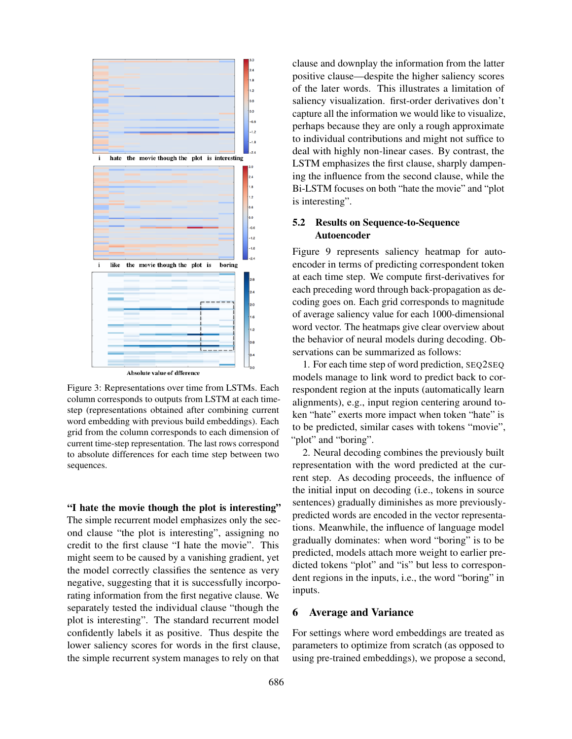

Figure 3: Representations over time from LSTMs. Each column corresponds to outputs from LSTM at each timestep (representations obtained after combining current word embedding with previous build embeddings). Each grid from the column corresponds to each dimension of current time-step representation. The last rows correspond to absolute differences for each time step between two sequences.

"I hate the movie though the plot is interesting" The simple recurrent model emphasizes only the second clause "the plot is interesting", assigning no credit to the first clause "I hate the movie". This might seem to be caused by a vanishing gradient, yet the model correctly classifies the sentence as very negative, suggesting that it is successfully incorporating information from the first negative clause. We separately tested the individual clause "though the plot is interesting". The standard recurrent model confidently labels it as positive. Thus despite the lower saliency scores for words in the first clause, the simple recurrent system manages to rely on that clause and downplay the information from the latter positive clause—despite the higher saliency scores of the later words. This illustrates a limitation of saliency visualization. first-order derivatives don't capture all the information we would like to visualize, perhaps because they are only a rough approximate to individual contributions and might not suffice to deal with highly non-linear cases. By contrast, the LSTM emphasizes the first clause, sharply dampening the influence from the second clause, while the Bi-LSTM focuses on both "hate the movie" and "plot is interesting".

### 5.2 Results on Sequence-to-Sequence Autoencoder

Figure 9 represents saliency heatmap for autoencoder in terms of predicting correspondent token at each time step. We compute first-derivatives for each preceding word through back-propagation as decoding goes on. Each grid corresponds to magnitude of average saliency value for each 1000-dimensional word vector. The heatmaps give clear overview about the behavior of neural models during decoding. Observations can be summarized as follows:

1. For each time step of word prediction, SEQ2SEQ models manage to link word to predict back to correspondent region at the inputs (automatically learn alignments), e.g., input region centering around token "hate" exerts more impact when token "hate" is to be predicted, similar cases with tokens "movie", "plot" and "boring".

2. Neural decoding combines the previously built representation with the word predicted at the current step. As decoding proceeds, the influence of the initial input on decoding (i.e., tokens in source sentences) gradually diminishes as more previouslypredicted words are encoded in the vector representations. Meanwhile, the influence of language model gradually dominates: when word "boring" is to be predicted, models attach more weight to earlier predicted tokens "plot" and "is" but less to correspondent regions in the inputs, i.e., the word "boring" in inputs.

#### 6 Average and Variance

For settings where word embeddings are treated as parameters to optimize from scratch (as opposed to using pre-trained embeddings), we propose a second,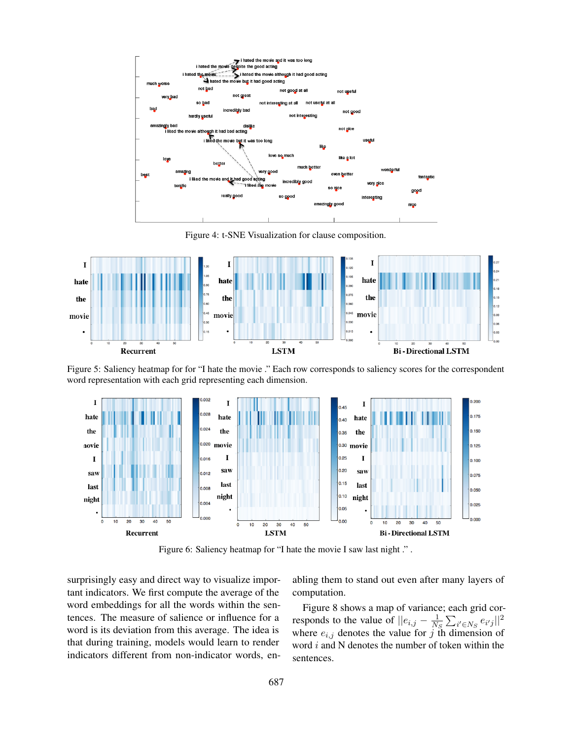

Figure 4: t-SNE Visualization for clause composition.



Figure 5: Saliency heatmap for for "I hate the movie ." Each row corresponds to saliency scores for the correspondent word representation with each grid representing each dimension.



Figure 6: Saliency heatmap for "I hate the movie I saw last night ." .

surprisingly easy and direct way to visualize important indicators. We first compute the average of the word embeddings for all the words within the sentences. The measure of salience or influence for a word is its deviation from this average. The idea is that during training, models would learn to render indicators different from non-indicator words, enabling them to stand out even after many layers of computation.

Figure 8 shows a map of variance; each grid corresponds to the value of  $||e_{i,j} - \frac{1}{N}\|$  $\frac{1}{N_S} \sum_{i' \in N_S} e_{i'j} ||^2$ where  $e_{i,j}$  denotes the value for j th dimension of word  $i$  and N denotes the number of token within the sentences.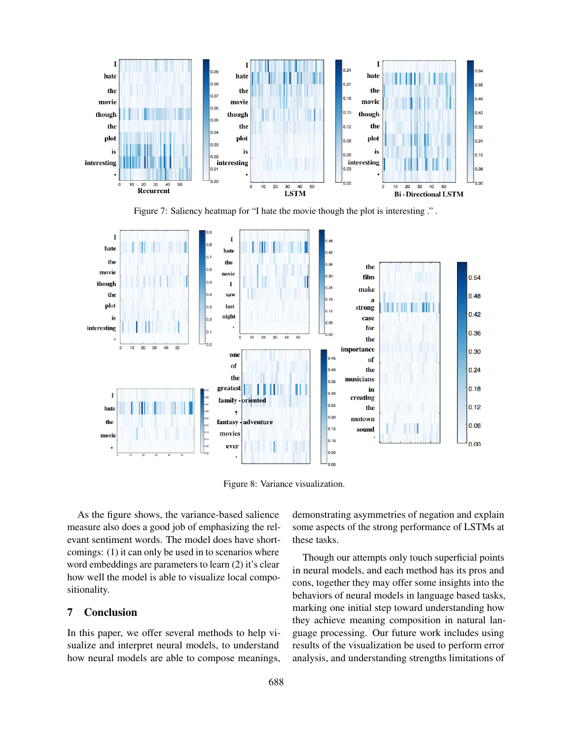

Figure 7: Saliency heatmap for "I hate the movie though the plot is interesting ." .



Figure 8: Variance visualization.

As the figure shows, the variance-based salience measure also does a good job of emphasizing the relevant sentiment words. The model does have shortcomings: (1) it can only be used in to scenarios where word embeddings are parameters to learn (2) it's clear how well the model is able to visualize local compositionality.

### 7 Conclusion

In this paper, we offer several methods to help visualize and interpret neural models, to understand how neural models are able to compose meanings, demonstrating asymmetries of negation and explain some aspects of the strong performance of LSTMs at these tasks.

Though our attempts only touch superficial points in neural models, and each method has its pros and cons, together they may offer some insights into the behaviors of neural models in language based tasks, marking one initial step toward understanding how they achieve meaning composition in natural language processing. Our future work includes using results of the visualization be used to perform error analysis, and understanding strengths limitations of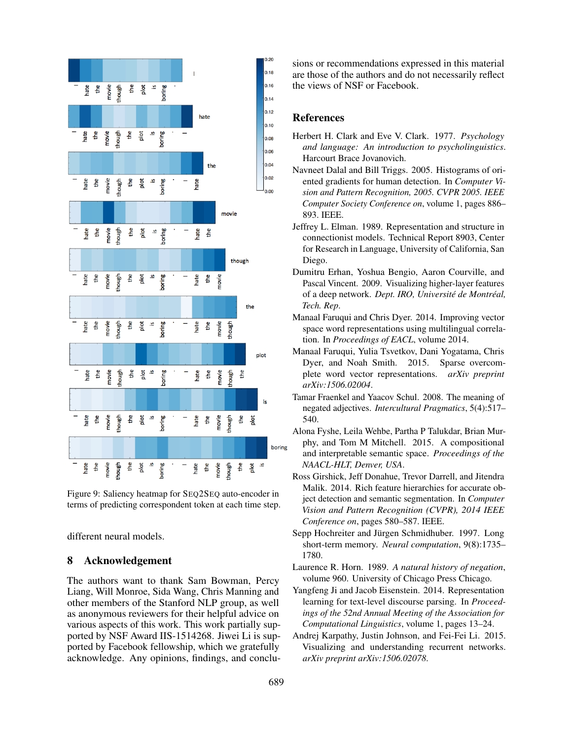

Figure 9: Saliency heatmap for SEQ2SEQ auto-encoder in terms of predicting correspondent token at each time step.

different neural models.

## 8 Acknowledgement

The authors want to thank Sam Bowman, Percy Liang, Will Monroe, Sida Wang, Chris Manning and other members of the Stanford NLP group, as well as anonymous reviewers for their helpful advice on various aspects of this work. This work partially supported by NSF Award IIS-1514268. Jiwei Li is supported by Facebook fellowship, which we gratefully acknowledge. Any opinions, findings, and conclusions or recommendations expressed in this material are those of the authors and do not necessarily reflect the views of NSF or Facebook.

### References

- Herbert H. Clark and Eve V. Clark. 1977. *Psychology and language: An introduction to psycholinguistics*. Harcourt Brace Jovanovich.
- Navneet Dalal and Bill Triggs. 2005. Histograms of oriented gradients for human detection. In *Computer Vision and Pattern Recognition, 2005. CVPR 2005. IEEE Computer Society Conference on*, volume 1, pages 886– 893. IEEE.
- Jeffrey L. Elman. 1989. Representation and structure in connectionist models. Technical Report 8903, Center for Research in Language, University of California, San Diego.
- Dumitru Erhan, Yoshua Bengio, Aaron Courville, and Pascal Vincent. 2009. Visualizing higher-layer features of a deep network. *Dept. IRO, Université de Montréal, Tech. Rep*.
- Manaal Faruqui and Chris Dyer. 2014. Improving vector space word representations using multilingual correlation. In *Proceedings of EACL*, volume 2014.
- Manaal Faruqui, Yulia Tsvetkov, Dani Yogatama, Chris Dyer, and Noah Smith. 2015. Sparse overcomplete word vector representations. *arXiv preprint arXiv:1506.02004*.
- Tamar Fraenkel and Yaacov Schul. 2008. The meaning of negated adjectives. *Intercultural Pragmatics*, 5(4):517– 540.
- Alona Fyshe, Leila Wehbe, Partha P Talukdar, Brian Murphy, and Tom M Mitchell. 2015. A compositional and interpretable semantic space. *Proceedings of the NAACL-HLT, Denver, USA*.
- Ross Girshick, Jeff Donahue, Trevor Darrell, and Jitendra Malik. 2014. Rich feature hierarchies for accurate object detection and semantic segmentation. In *Computer Vision and Pattern Recognition (CVPR), 2014 IEEE Conference on*, pages 580–587. IEEE.
- Sepp Hochreiter and Jürgen Schmidhuber. 1997. Long short-term memory. *Neural computation*, 9(8):1735– 1780.
- Laurence R. Horn. 1989. *A natural history of negation*, volume 960. University of Chicago Press Chicago.
- Yangfeng Ji and Jacob Eisenstein. 2014. Representation learning for text-level discourse parsing. In *Proceedings of the 52nd Annual Meeting of the Association for Computational Linguistics*, volume 1, pages 13–24.
- Andrej Karpathy, Justin Johnson, and Fei-Fei Li. 2015. Visualizing and understanding recurrent networks. *arXiv preprint arXiv:1506.02078*.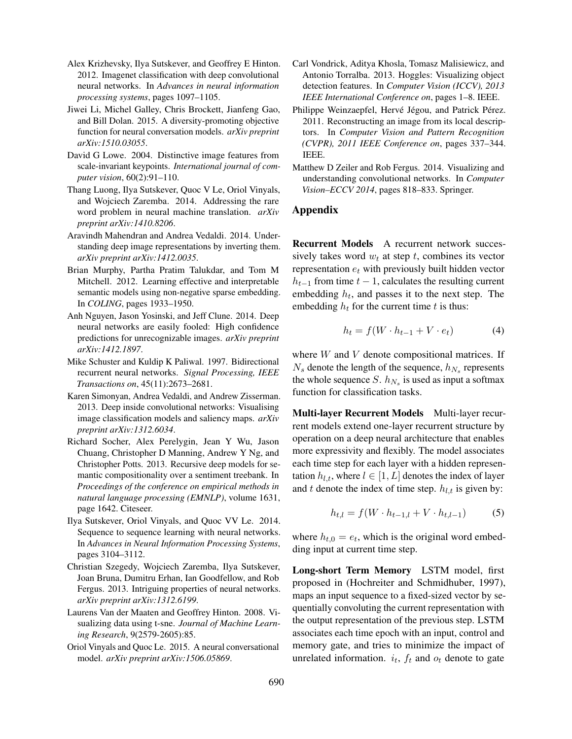- Alex Krizhevsky, Ilya Sutskever, and Geoffrey E Hinton. 2012. Imagenet classification with deep convolutional neural networks. In *Advances in neural information processing systems*, pages 1097–1105.
- Jiwei Li, Michel Galley, Chris Brockett, Jianfeng Gao, and Bill Dolan. 2015. A diversity-promoting objective function for neural conversation models. *arXiv preprint arXiv:1510.03055*.
- David G Lowe. 2004. Distinctive image features from scale-invariant keypoints. *International journal of computer vision*, 60(2):91–110.
- Thang Luong, Ilya Sutskever, Quoc V Le, Oriol Vinyals, and Wojciech Zaremba. 2014. Addressing the rare word problem in neural machine translation. *arXiv preprint arXiv:1410.8206*.
- Aravindh Mahendran and Andrea Vedaldi. 2014. Understanding deep image representations by inverting them. *arXiv preprint arXiv:1412.0035*.
- Brian Murphy, Partha Pratim Talukdar, and Tom M Mitchell. 2012. Learning effective and interpretable semantic models using non-negative sparse embedding. In *COLING*, pages 1933–1950.
- Anh Nguyen, Jason Yosinski, and Jeff Clune. 2014. Deep neural networks are easily fooled: High confidence predictions for unrecognizable images. *arXiv preprint arXiv:1412.1897*.
- Mike Schuster and Kuldip K Paliwal. 1997. Bidirectional recurrent neural networks. *Signal Processing, IEEE Transactions on*, 45(11):2673–2681.
- Karen Simonyan, Andrea Vedaldi, and Andrew Zisserman. 2013. Deep inside convolutional networks: Visualising image classification models and saliency maps. *arXiv preprint arXiv:1312.6034*.
- Richard Socher, Alex Perelygin, Jean Y Wu, Jason Chuang, Christopher D Manning, Andrew Y Ng, and Christopher Potts. 2013. Recursive deep models for semantic compositionality over a sentiment treebank. In *Proceedings of the conference on empirical methods in natural language processing (EMNLP)*, volume 1631, page 1642. Citeseer.
- Ilya Sutskever, Oriol Vinyals, and Quoc VV Le. 2014. Sequence to sequence learning with neural networks. In *Advances in Neural Information Processing Systems*, pages 3104–3112.
- Christian Szegedy, Wojciech Zaremba, Ilya Sutskever, Joan Bruna, Dumitru Erhan, Ian Goodfellow, and Rob Fergus. 2013. Intriguing properties of neural networks. *arXiv preprint arXiv:1312.6199*.
- Laurens Van der Maaten and Geoffrey Hinton. 2008. Visualizing data using t-sne. *Journal of Machine Learning Research*, 9(2579-2605):85.
- Oriol Vinyals and Quoc Le. 2015. A neural conversational model. *arXiv preprint arXiv:1506.05869*.
- Carl Vondrick, Aditya Khosla, Tomasz Malisiewicz, and Antonio Torralba. 2013. Hoggles: Visualizing object detection features. In *Computer Vision (ICCV), 2013 IEEE International Conference on*, pages 1–8. IEEE.
- Philippe Weinzaepfel, Hervé Jégou, and Patrick Pérez. 2011. Reconstructing an image from its local descriptors. In *Computer Vision and Pattern Recognition (CVPR), 2011 IEEE Conference on*, pages 337–344. IEEE.
- Matthew D Zeiler and Rob Fergus. 2014. Visualizing and understanding convolutional networks. In *Computer Vision–ECCV 2014*, pages 818–833. Springer.

### Appendix

Recurrent Models A recurrent network successively takes word  $w_t$  at step  $t$ , combines its vector representation  $e_t$  with previously built hidden vector  $h_{t-1}$  from time  $t-1$ , calculates the resulting current embedding  $h_t$ , and passes it to the next step. The embedding  $h_t$  for the current time  $t$  is thus:

$$
h_t = f(W \cdot h_{t-1} + V \cdot e_t)
$$
 (4)

where  $W$  and  $V$  denote compositional matrices. If  $N_s$  denote the length of the sequence,  $h_{N_s}$  represents the whole sequence S.  $h_{N_s}$  is used as input a softmax function for classification tasks.

Multi-layer Recurrent Models Multi-layer recurrent models extend one-layer recurrent structure by operation on a deep neural architecture that enables more expressivity and flexibly. The model associates each time step for each layer with a hidden representation  $h_{l,t}$ , where  $l \in [1, L]$  denotes the index of layer and t denote the index of time step.  $h_{l,t}$  is given by:

$$
h_{t,l} = f(W \cdot h_{t-1,l} + V \cdot h_{t,l-1})
$$
 (5)

where  $h_{t,0} = e_t$ , which is the original word embedding input at current time step.

Long-short Term Memory LSTM model, first proposed in (Hochreiter and Schmidhuber, 1997), maps an input sequence to a fixed-sized vector by sequentially convoluting the current representation with the output representation of the previous step. LSTM associates each time epoch with an input, control and memory gate, and tries to minimize the impact of unrelated information.  $i_t$ ,  $f_t$  and  $o_t$  denote to gate